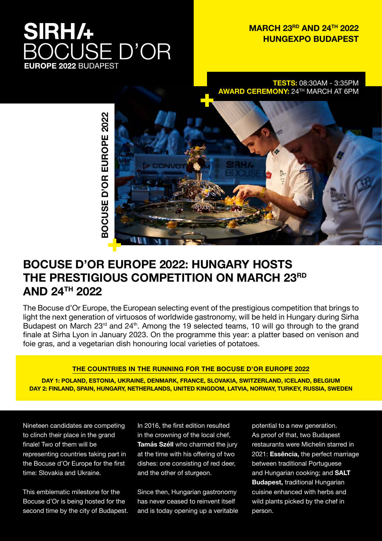# **SIRH/+ CUSE D'OR EUROPE 2022 BUDAPEST**

### **MARCH 23RD AND 24TH 2022 HUNGEXPO BUDAPEST**

**TESTS:** 08:30AM - 3:35PM **AWARD CEREMONY:** 24TH MARCH AT 6PM



### **BOCUSE D'OR EUROPE 2022: HUNGARY HOSTS THE PRESTIGIOUS COMPETITION ON MARCH 23RD AND 24TH 2022**

The Bocuse d'Or Europe, the European selecting event of the prestigious competition that brings to light the next generation of virtuosos of worldwide gastronomy, will be held in Hungary during Sirha Budapest on March 23<sup>rd</sup> and 24<sup>th</sup>. Among the 19 selected teams, 10 will go through to the grand finale at Sirha Lyon in January 2023. On the programme this year: a platter based on venison and foie gras, and a vegetarian dish honouring local varieties of potatoes.

### **THE COUNTRIES IN THE RUNNING FOR THE BOCUSE D'OR EUROPE 2022**

**DAY 1: POLAND, ESTONIA, UKRAINE, DENMARK, FRANCE, SLOVAKIA, SWITZERLAND, ICELAND, BELGIUM DAY 2: FINLAND, SPAIN, HUNGARY, NETHERLANDS, UNITED KINGDOM, LATVIA, NORWAY, TURKEY, RUSSIA, SWEDEN**

Nineteen candidates are competing to clinch their place in the grand finale! Two of them will be representing countries taking part in the Bocuse d'Or Europe for the first time: Slovakia and Ukraine.

This emblematic milestone for the Bocuse d'Or is being hosted for the second time by the city of Budapest. In 2016, the first edition resulted in the crowning of the local chef, **Tamás Széll** who charmed the jury at the time with his offering of two dishes: one consisting of red deer, and the other of sturgeon.

Since then, Hungarian gastronomy has never ceased to reinvent itself and is today opening up a veritable potential to a new generation. As proof of that, two Budapest restaurants were Michelin starred in 2021: **Essência,** the perfect marriage between traditional Portuguese and Hungarian cooking; and **SALT Budapest,** traditional Hungarian cuisine enhanced with herbs and wild plants picked by the chef in person.